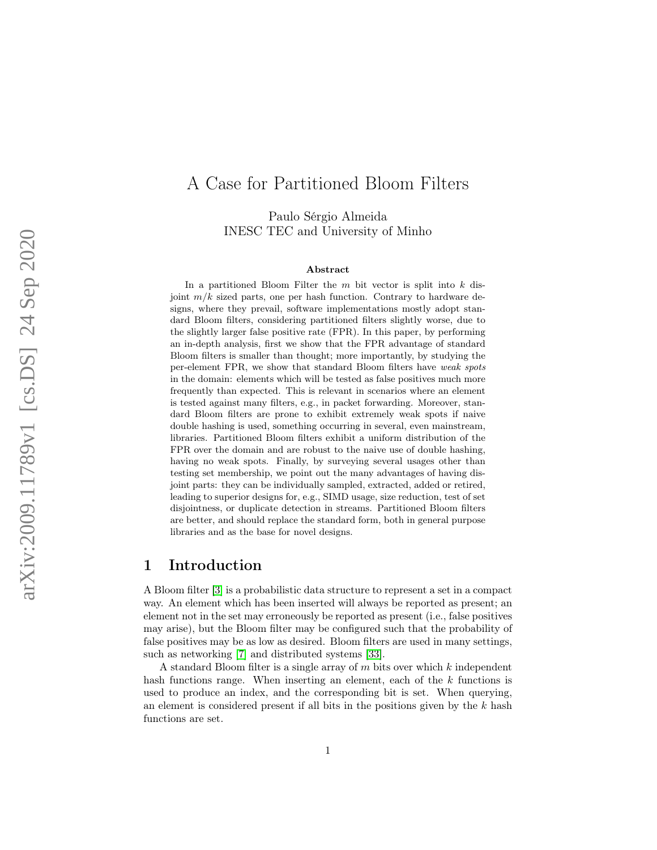# A Case for Partitioned Bloom Filters

Paulo Sérgio Almeida INESC TEC and University of Minho

#### Abstract

In a partitioned Bloom Filter the  $m$  bit vector is split into  $k$  disjoint  $m/k$  sized parts, one per hash function. Contrary to hardware designs, where they prevail, software implementations mostly adopt standard Bloom filters, considering partitioned filters slightly worse, due to the slightly larger false positive rate (FPR). In this paper, by performing an in-depth analysis, first we show that the FPR advantage of standard Bloom filters is smaller than thought; more importantly, by studying the per-element FPR, we show that standard Bloom filters have weak spots in the domain: elements which will be tested as false positives much more frequently than expected. This is relevant in scenarios where an element is tested against many filters, e.g., in packet forwarding. Moreover, standard Bloom filters are prone to exhibit extremely weak spots if naive double hashing is used, something occurring in several, even mainstream, libraries. Partitioned Bloom filters exhibit a uniform distribution of the FPR over the domain and are robust to the naive use of double hashing, having no weak spots. Finally, by surveying several usages other than testing set membership, we point out the many advantages of having disjoint parts: they can be individually sampled, extracted, added or retired, leading to superior designs for, e.g., SIMD usage, size reduction, test of set disjointness, or duplicate detection in streams. Partitioned Bloom filters are better, and should replace the standard form, both in general purpose libraries and as the base for novel designs.

## 1 Introduction

A Bloom filter [\[3\]](#page-18-0) is a probabilistic data structure to represent a set in a compact way. An element which has been inserted will always be reported as present; an element not in the set may erroneously be reported as present (i.e., false positives may arise), but the Bloom filter may be configured such that the probability of false positives may be as low as desired. Bloom filters are used in many settings, such as networking [\[7\]](#page-18-1) and distributed systems [\[33\]](#page-20-0).

A standard Bloom filter is a single array of m bits over which k independent hash functions range. When inserting an element, each of the  $k$  functions is used to produce an index, and the corresponding bit is set. When querying, an element is considered present if all bits in the positions given by the  $k$  hash functions are set.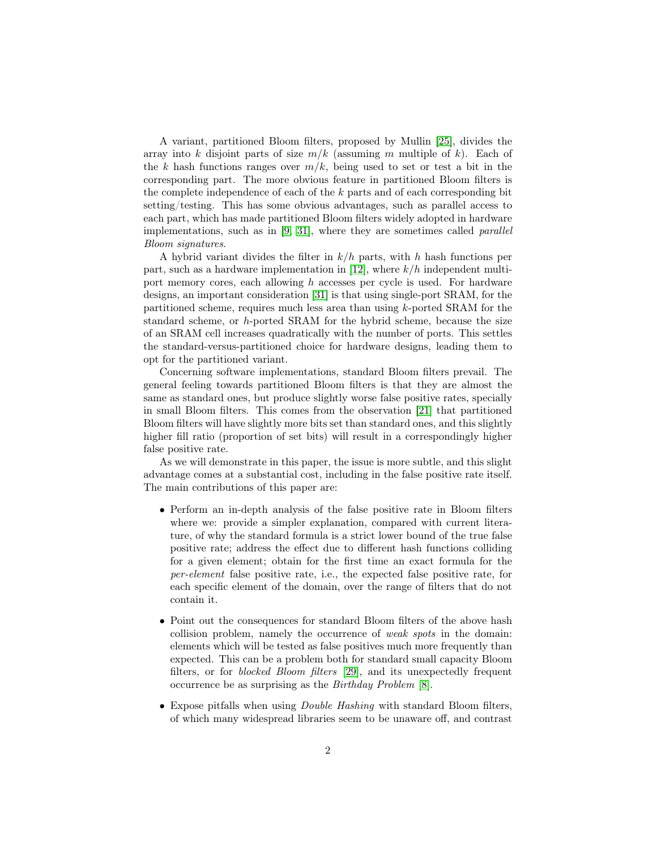A variant, partitioned Bloom filters, proposed by Mullin [\[25\]](#page-19-0), divides the array into k disjoint parts of size  $m/k$  (assuming m multiple of k). Each of the k hash functions ranges over  $m/k$ , being used to set or test a bit in the corresponding part. The more obvious feature in partitioned Bloom filters is the complete independence of each of the  $k$  parts and of each corresponding bit setting/testing. This has some obvious advantages, such as parallel access to each part, which has made partitioned Bloom filters widely adopted in hardware implementations, such as in [\[9,](#page-18-2) [31\]](#page-20-1), where they are sometimes called parallel Bloom signatures.

A hybrid variant divides the filter in  $k/h$  parts, with h hash functions per part, such as a hardware implementation in [\[12\]](#page-18-3), where  $k/h$  independent multiport memory cores, each allowing  $h$  accesses per cycle is used. For hardware designs, an important consideration [\[31\]](#page-20-1) is that using single-port SRAM, for the partitioned scheme, requires much less area than using k-ported SRAM for the standard scheme, or h-ported SRAM for the hybrid scheme, because the size of an SRAM cell increases quadratically with the number of ports. This settles the standard-versus-partitioned choice for hardware designs, leading them to opt for the partitioned variant.

Concerning software implementations, standard Bloom filters prevail. The general feeling towards partitioned Bloom filters is that they are almost the same as standard ones, but produce slightly worse false positive rates, specially in small Bloom filters. This comes from the observation [\[21\]](#page-19-1) that partitioned Bloom filters will have slightly more bits set than standard ones, and this slightly higher fill ratio (proportion of set bits) will result in a correspondingly higher false positive rate.

As we will demonstrate in this paper, the issue is more subtle, and this slight advantage comes at a substantial cost, including in the false positive rate itself. The main contributions of this paper are:

- Perform an in-depth analysis of the false positive rate in Bloom filters where we: provide a simpler explanation, compared with current literature, of why the standard formula is a strict lower bound of the true false positive rate; address the effect due to different hash functions colliding for a given element; obtain for the first time an exact formula for the per-element false positive rate, i.e., the expected false positive rate, for each specific element of the domain, over the range of filters that do not contain it.
- Point out the consequences for standard Bloom filters of the above hash collision problem, namely the occurrence of weak spots in the domain: elements which will be tested as false positives much more frequently than expected. This can be a problem both for standard small capacity Bloom filters, or for blocked Bloom filters [\[29\]](#page-20-2), and its unexpectedly frequent occurrence be as surprising as the Birthday Problem [\[8\]](#page-18-4).
- Expose pitfalls when using *Double Hashing* with standard Bloom filters, of which many widespread libraries seem to be unaware off, and contrast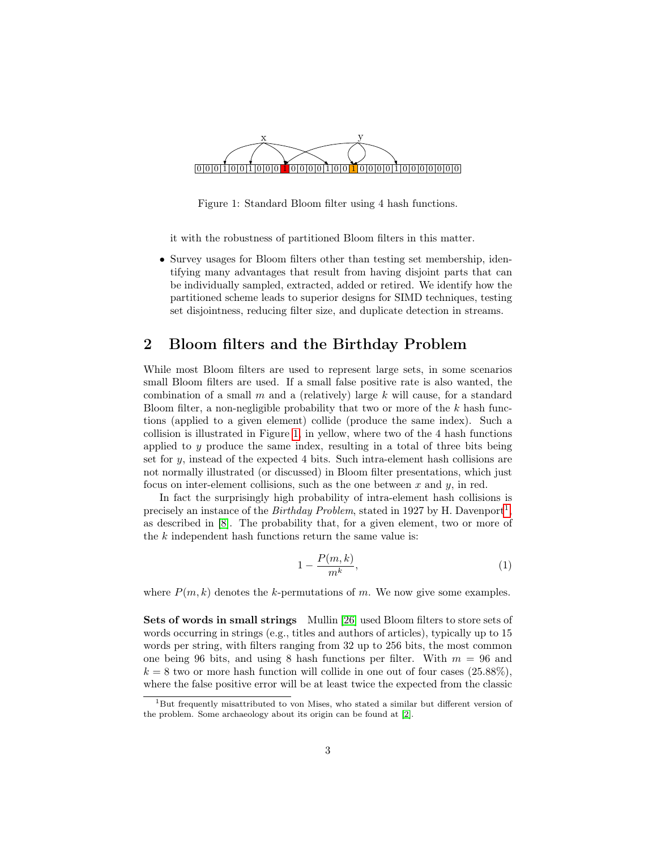

<span id="page-2-0"></span>Figure 1: Standard Bloom filter using 4 hash functions.

it with the robustness of partitioned Bloom filters in this matter.

• Survey usages for Bloom filters other than testing set membership, identifying many advantages that result from having disjoint parts that can be individually sampled, extracted, added or retired. We identify how the partitioned scheme leads to superior designs for SIMD techniques, testing set disjointness, reducing filter size, and duplicate detection in streams.

### 2 Bloom filters and the Birthday Problem

While most Bloom filters are used to represent large sets, in some scenarios small Bloom filters are used. If a small false positive rate is also wanted, the combination of a small  $m$  and a (relatively) large  $k$  will cause, for a standard Bloom filter, a non-negligible probability that two or more of the  $k$  hash functions (applied to a given element) collide (produce the same index). Such a collision is illustrated in Figure [1,](#page-2-0) in yellow, where two of the 4 hash functions applied to y produce the same index, resulting in a total of three bits being set for  $y$ , instead of the expected 4 bits. Such intra-element hash collisions are not normally illustrated (or discussed) in Bloom filter presentations, which just focus on inter-element collisions, such as the one between  $x$  and  $y$ , in red.

In fact the surprisingly high probability of intra-element hash collisions is precisely an instance of the *Birthday Problem*, stated in [1](#page-2-1)927 by H. Davenport<sup>1</sup>, as described in [\[8\]](#page-18-4). The probability that, for a given element, two or more of the  $k$  independent hash functions return the same value is:

<span id="page-2-2"></span>
$$
1 - \frac{P(m,k)}{m^k},\tag{1}
$$

where  $P(m, k)$  denotes the k-permutations of m. We now give some examples.

Sets of words in small strings Mullin [\[26\]](#page-20-3) used Bloom filters to store sets of words occurring in strings (e.g., titles and authors of articles), typically up to 15 words per string, with filters ranging from 32 up to 256 bits, the most common one being 96 bits, and using 8 hash functions per filter. With  $m = 96$  and  $k = 8$  two or more hash function will collide in one out of four cases (25.88%), where the false positive error will be at least twice the expected from the classic

<span id="page-2-1"></span> $1$ But frequently misattributed to von Mises, who stated a similar but different version of the problem. Some archaeology about its origin can be found at [\[2\]](#page-18-5).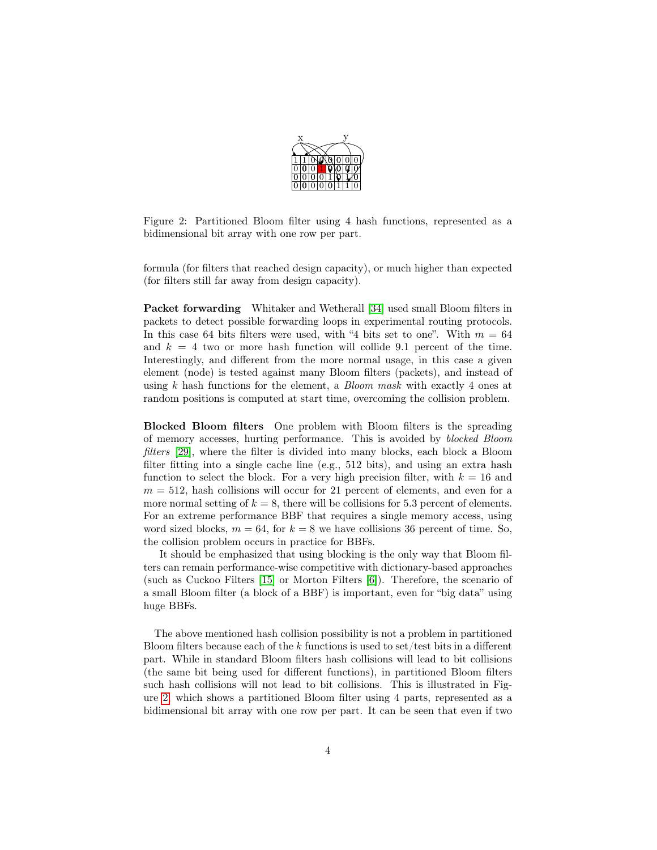

Figure 2: Partitioned Bloom filter using 4 hash functions, represented as a bidimensional bit array with one row per part.

<span id="page-3-0"></span>formula (for filters that reached design capacity), or much higher than expected (for filters still far away from design capacity).

Packet forwarding Whitaker and Wetherall [\[34\]](#page-20-4) used small Bloom filters in packets to detect possible forwarding loops in experimental routing protocols. In this case 64 bits filters were used, with "4 bits set to one". With  $m = 64$ and  $k = 4$  two or more hash function will collide 9.1 percent of the time. Interestingly, and different from the more normal usage, in this case a given element (node) is tested against many Bloom filters (packets), and instead of using k hash functions for the element, a *Bloom mask* with exactly 4 ones at random positions is computed at start time, overcoming the collision problem.

Blocked Bloom filters One problem with Bloom filters is the spreading of memory accesses, hurting performance. This is avoided by blocked Bloom filters [\[29\]](#page-20-2), where the filter is divided into many blocks, each block a Bloom filter fitting into a single cache line (e.g., 512 bits), and using an extra hash function to select the block. For a very high precision filter, with  $k = 16$  and  $m = 512$ , hash collisions will occur for 21 percent of elements, and even for a more normal setting of  $k = 8$ , there will be collisions for 5.3 percent of elements. For an extreme performance BBF that requires a single memory access, using word sized blocks,  $m = 64$ , for  $k = 8$  we have collisions 36 percent of time. So, the collision problem occurs in practice for BBFs.

It should be emphasized that using blocking is the only way that Bloom filters can remain performance-wise competitive with dictionary-based approaches (such as Cuckoo Filters [\[15\]](#page-19-2) or Morton Filters [\[6\]](#page-18-6)). Therefore, the scenario of a small Bloom filter (a block of a BBF) is important, even for "big data" using huge BBFs.

The above mentioned hash collision possibility is not a problem in partitioned Bloom filters because each of the k functions is used to set/test bits in a different part. While in standard Bloom filters hash collisions will lead to bit collisions (the same bit being used for different functions), in partitioned Bloom filters such hash collisions will not lead to bit collisions. This is illustrated in Figure [2,](#page-3-0) which shows a partitioned Bloom filter using 4 parts, represented as a bidimensional bit array with one row per part. It can be seen that even if two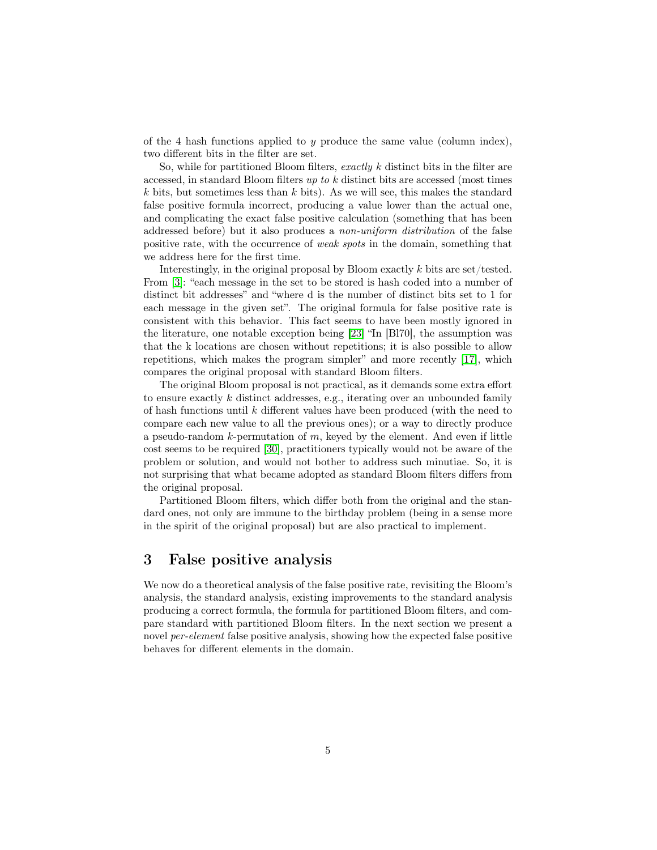of the 4 hash functions applied to y produce the same value (column index), two different bits in the filter are set.

So, while for partitioned Bloom filters, exactly k distinct bits in the filter are accessed, in standard Bloom filters up to k distinct bits are accessed (most times k bits, but sometimes less than k bits). As we will see, this makes the standard false positive formula incorrect, producing a value lower than the actual one, and complicating the exact false positive calculation (something that has been addressed before) but it also produces a non-uniform distribution of the false positive rate, with the occurrence of weak spots in the domain, something that we address here for the first time.

Interestingly, in the original proposal by Bloom exactly  $k$  bits are set/tested. From [\[3\]](#page-18-0): "each message in the set to be stored is hash coded into a number of distinct bit addresses" and "where d is the number of distinct bits set to 1 for each message in the given set". The original formula for false positive rate is consistent with this behavior. This fact seems to have been mostly ignored in the literature, one notable exception being [\[23\]](#page-19-3) "In [Bl70], the assumption was that the k locations are chosen without repetitions; it is also possible to allow repetitions, which makes the program simpler" and more recently [\[17\]](#page-19-4), which compares the original proposal with standard Bloom filters.

The original Bloom proposal is not practical, as it demands some extra effort to ensure exactly  $k$  distinct addresses, e.g., iterating over an unbounded family of hash functions until k different values have been produced (with the need to compare each new value to all the previous ones); or a way to directly produce a pseudo-random  $k$ -permutation of  $m$ , keyed by the element. And even if little cost seems to be required [\[30\]](#page-20-5), practitioners typically would not be aware of the problem or solution, and would not bother to address such minutiae. So, it is not surprising that what became adopted as standard Bloom filters differs from the original proposal.

Partitioned Bloom filters, which differ both from the original and the standard ones, not only are immune to the birthday problem (being in a sense more in the spirit of the original proposal) but are also practical to implement.

### 3 False positive analysis

We now do a theoretical analysis of the false positive rate, revisiting the Bloom's analysis, the standard analysis, existing improvements to the standard analysis producing a correct formula, the formula for partitioned Bloom filters, and compare standard with partitioned Bloom filters. In the next section we present a novel per-element false positive analysis, showing how the expected false positive behaves for different elements in the domain.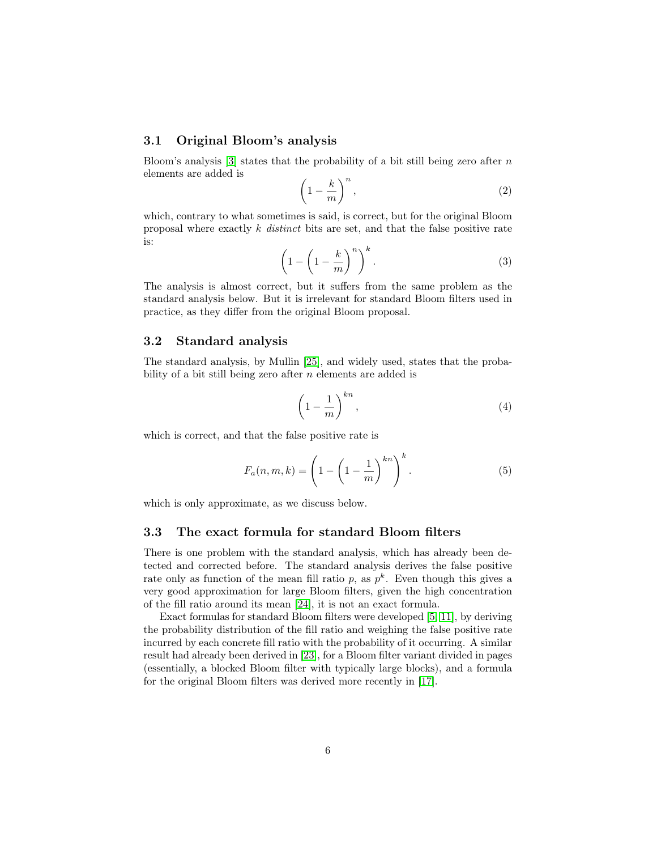#### 3.1 Original Bloom's analysis

Bloom's analysis [\[3\]](#page-18-0) states that the probability of a bit still being zero after  $n$ elements are added is

$$
\left(1 - \frac{k}{m}\right)^n,\tag{2}
$$

which, contrary to what sometimes is said, is correct, but for the original Bloom proposal where exactly  $k$  distinct bits are set, and that the false positive rate is:

$$
\left(1 - \left(1 - \frac{k}{m}\right)^n\right)^k.\tag{3}
$$

The analysis is almost correct, but it suffers from the same problem as the standard analysis below. But it is irrelevant for standard Bloom filters used in practice, as they differ from the original Bloom proposal.

#### 3.2 Standard analysis

The standard analysis, by Mullin [\[25\]](#page-19-0), and widely used, states that the probability of a bit still being zero after  $n$  elements are added is

<span id="page-5-0"></span>
$$
\left(1 - \frac{1}{m}\right)^{kn},\tag{4}
$$

which is correct, and that the false positive rate is

$$
F_a(n,m,k) = \left(1 - \left(1 - \frac{1}{m}\right)^{kn}\right)^k.
$$
 (5)

which is only approximate, as we discuss below.

#### 3.3 The exact formula for standard Bloom filters

There is one problem with the standard analysis, which has already been detected and corrected before. The standard analysis derives the false positive rate only as function of the mean fill ratio p, as  $p^k$ . Even though this gives a very good approximation for large Bloom filters, given the high concentration of the fill ratio around its mean [\[24\]](#page-19-5), it is not an exact formula.

Exact formulas for standard Bloom filters were developed [\[5,](#page-18-7) [11\]](#page-18-8), by deriving the probability distribution of the fill ratio and weighing the false positive rate incurred by each concrete fill ratio with the probability of it occurring. A similar result had already been derived in [\[23\]](#page-19-3), for a Bloom filter variant divided in pages (essentially, a blocked Bloom filter with typically large blocks), and a formula for the original Bloom filters was derived more recently in [\[17\]](#page-19-4).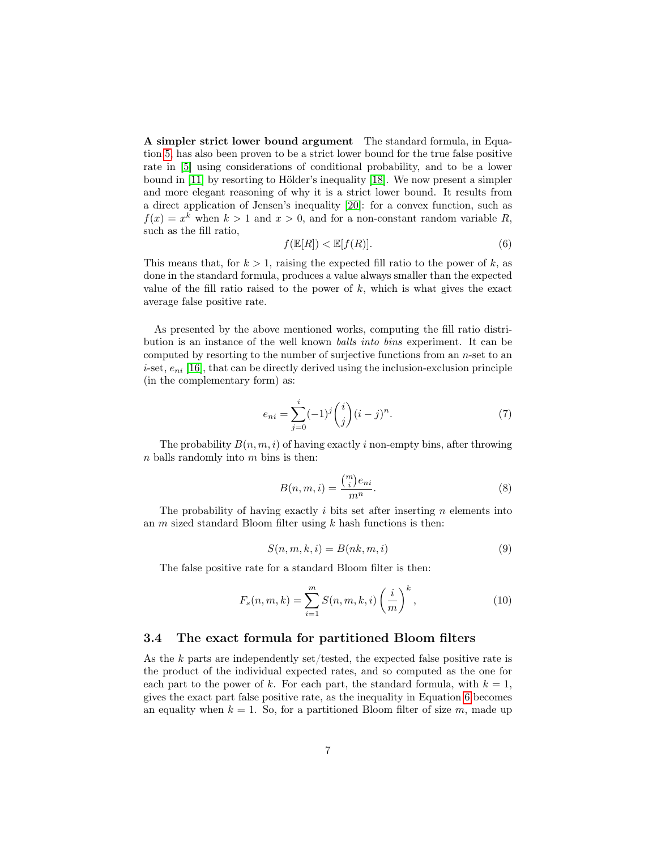A simpler strict lower bound argument The standard formula, in Equation [5,](#page-5-0) has also been proven to be a strict lower bound for the true false positive rate in [\[5\]](#page-18-7) using considerations of conditional probability, and to be a lower bound in [\[11\]](#page-18-8) by resorting to Hölder's inequality [\[18\]](#page-19-6). We now present a simpler and more elegant reasoning of why it is a strict lower bound. It results from a direct application of Jensen's inequality [\[20\]](#page-19-7): for a convex function, such as  $f(x) = x^k$  when  $k > 1$  and  $x > 0$ , and for a non-constant random variable R, such as the fill ratio,

<span id="page-6-0"></span>
$$
f(\mathbb{E}[R]) < \mathbb{E}[f(R)].\tag{6}
$$

This means that, for  $k > 1$ , raising the expected fill ratio to the power of k, as done in the standard formula, produces a value always smaller than the expected value of the fill ratio raised to the power of  $k$ , which is what gives the exact average false positive rate.

As presented by the above mentioned works, computing the fill ratio distribution is an instance of the well known balls into bins experiment. It can be computed by resorting to the number of surjective functions from an  $n$ -set to an *i*-set,  $e_{ni}$  [\[16\]](#page-19-8), that can be directly derived using the inclusion-exclusion principle (in the complementary form) as:

$$
e_{ni} = \sum_{j=0}^{i} (-1)^j \binom{i}{j} (i-j)^n.
$$
 (7)

<span id="page-6-2"></span>The probability  $B(n, m, i)$  of having exactly i non-empty bins, after throwing  $n$  balls randomly into  $m$  bins is then:

$$
B(n, m, i) = \frac{\binom{m}{i} e_{ni}}{m^n}.
$$
\n
$$
(8)
$$

The probability of having exactly  $i$  bits set after inserting  $n$  elements into an  $m$  sized standard Bloom filter using  $k$  hash functions is then:

$$
S(n, m, k, i) = B(nk, m, i)
$$
\n<sup>(9)</sup>

<span id="page-6-1"></span>The false positive rate for a standard Bloom filter is then:

$$
F_s(n, m, k) = \sum_{i=1}^{m} S(n, m, k, i) \left(\frac{i}{m}\right)^k,
$$
\n(10)

#### 3.4 The exact formula for partitioned Bloom filters

As the  $k$  parts are independently set/tested, the expected false positive rate is the product of the individual expected rates, and so computed as the one for each part to the power of k. For each part, the standard formula, with  $k = 1$ , gives the exact part false positive rate, as the inequality in Equation [6](#page-6-0) becomes an equality when  $k = 1$ . So, for a partitioned Bloom filter of size m, made up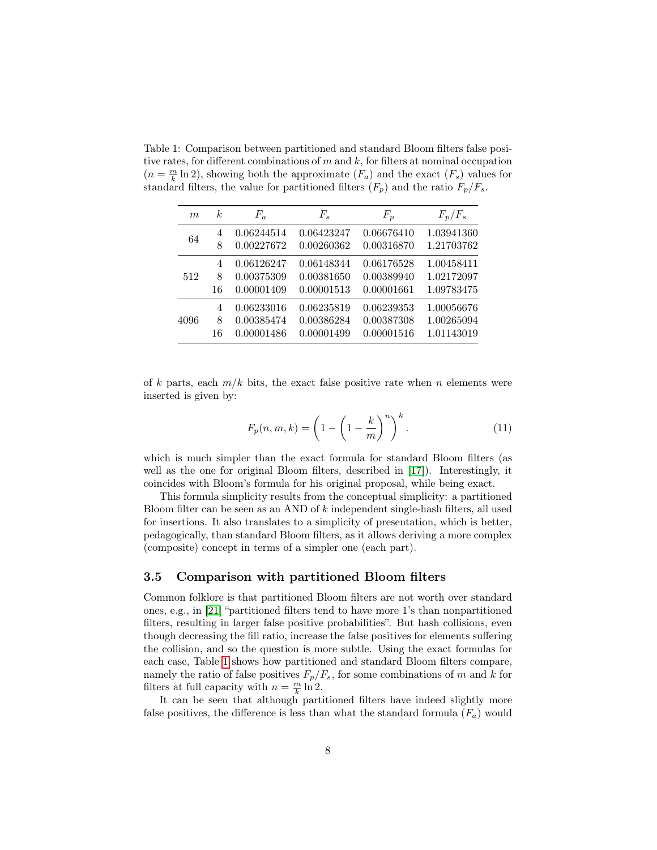<span id="page-7-0"></span>Table 1: Comparison between partitioned and standard Bloom filters false positive rates, for different combinations of  $m$  and  $k$ , for filters at nominal occupation  $(n = \frac{m}{k} \ln 2)$ , showing both the approximate  $(F_a)$  and the exact  $(F_s)$  values for standard filters, the value for partitioned filters  $(F_p)$  and the ratio  $F_p/F_s$ .

| m    | k <sub>i</sub> | $F_a$      | $F_s$      | $F_p$      | $F_p/F_s$  |  |
|------|----------------|------------|------------|------------|------------|--|
| 64   | 4              | 0.06244514 | 0.06423247 | 0.06676410 | 1.03941360 |  |
|      | 8              | 0.00227672 | 0.00260362 | 0.00316870 | 1.21703762 |  |
|      | $\overline{4}$ | 0.06126247 | 0.06148344 | 0.06176528 | 1.00458411 |  |
| 512  | 8              | 0.00375309 | 0.00381650 | 0.00389940 | 1.02172097 |  |
|      | 16             | 0.00001409 | 0.00001513 | 0.00001661 | 1.09783475 |  |
|      | 4              | 0.06233016 | 0.06235819 | 0.06239353 | 1.00056676 |  |
| 4096 | 8              | 0.00385474 | 0.00386284 | 0.00387308 | 1.00265094 |  |
|      | 16             | 0.00001486 | 0.00001499 | 0.00001516 | 1.01143019 |  |

of k parts, each  $m/k$  bits, the exact false positive rate when n elements were inserted is given by:

$$
F_p(n,m,k) = \left(1 - \left(1 - \frac{k}{m}\right)^n\right)^k.
$$
\n(11)

which is much simpler than the exact formula for standard Bloom filters (as well as the one for original Bloom filters, described in [\[17\]](#page-19-4)). Interestingly, it coincides with Bloom's formula for his original proposal, while being exact.

This formula simplicity results from the conceptual simplicity: a partitioned Bloom filter can be seen as an AND of k independent single-hash filters, all used for insertions. It also translates to a simplicity of presentation, which is better, pedagogically, than standard Bloom filters, as it allows deriving a more complex (composite) concept in terms of a simpler one (each part).

#### 3.5 Comparison with partitioned Bloom filters

Common folklore is that partitioned Bloom filters are not worth over standard ones, e.g., in [\[21\]](#page-19-1) "partitioned filters tend to have more 1's than nonpartitioned filters, resulting in larger false positive probabilities". But hash collisions, even though decreasing the fill ratio, increase the false positives for elements suffering the collision, and so the question is more subtle. Using the exact formulas for each case, Table [1](#page-7-0) shows how partitioned and standard Bloom filters compare, namely the ratio of false positives  $F_p/F_s$ , for some combinations of m and k for filters at full capacity with  $n = \frac{m}{k} \ln 2$ .

It can be seen that although partitioned filters have indeed slightly more false positives, the difference is less than what the standard formula  $(F_a)$  would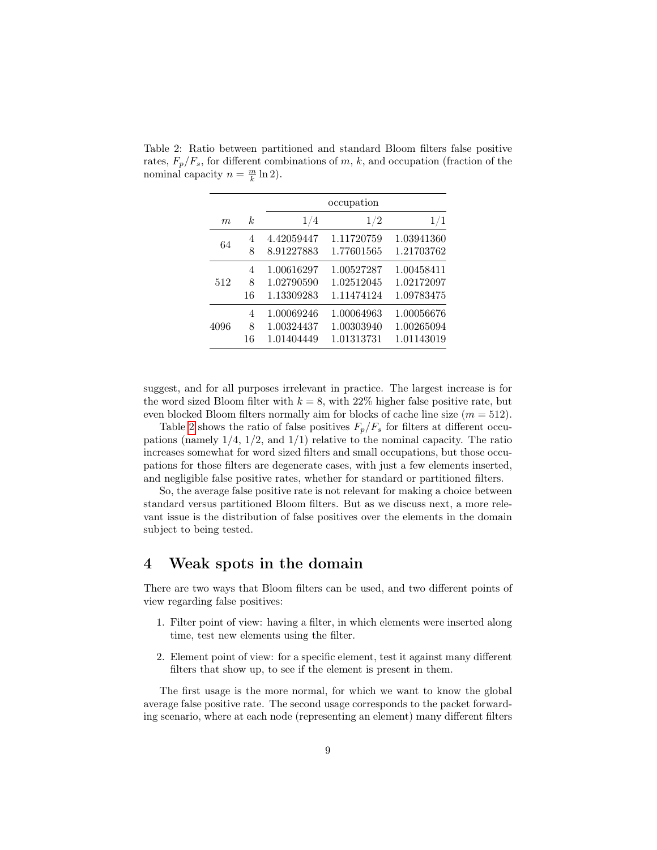| m    | k  | 1/4        | 1/2        | 1/1        |
|------|----|------------|------------|------------|
| 64   | 4  | 4.42059447 | 1.11720759 | 1.03941360 |
|      | 8  | 8.91227883 | 1.77601565 | 1.21703762 |
| 512  | 4  | 1.00616297 | 1.00527287 | 1.00458411 |
|      | 8  | 1.02790590 | 1.02512045 | 1.02172097 |
|      | 16 | 1.13309283 | 1.11474124 | 1.09783475 |
| 4096 | 4  | 1.00069246 | 1.00064963 | 1.00056676 |
|      | 8  | 1.00324437 | 1.00303940 | 1.00265094 |
|      | 16 | 1.01404449 | 1.01313731 | 1.01143019 |

<span id="page-8-0"></span>Table 2: Ratio between partitioned and standard Bloom filters false positive rates,  $F_p/F_s$ , for different combinations of m, k, and occupation (fraction of the nominal capacity  $n = \frac{m}{k} \ln 2$ .

suggest, and for all purposes irrelevant in practice. The largest increase is for the word sized Bloom filter with  $k = 8$ , with 22% higher false positive rate, but even blocked Bloom filters normally aim for blocks of cache line size  $(m = 512)$ .

Table [2](#page-8-0) shows the ratio of false positives  $F_p/F_s$  for filters at different occupations (namely  $1/4$ ,  $1/2$ , and  $1/1$ ) relative to the nominal capacity. The ratio increases somewhat for word sized filters and small occupations, but those occupations for those filters are degenerate cases, with just a few elements inserted, and negligible false positive rates, whether for standard or partitioned filters.

So, the average false positive rate is not relevant for making a choice between standard versus partitioned Bloom filters. But as we discuss next, a more relevant issue is the distribution of false positives over the elements in the domain subject to being tested.

### 4 Weak spots in the domain

There are two ways that Bloom filters can be used, and two different points of view regarding false positives:

- 1. Filter point of view: having a filter, in which elements were inserted along time, test new elements using the filter.
- 2. Element point of view: for a specific element, test it against many different filters that show up, to see if the element is present in them.

The first usage is the more normal, for which we want to know the global average false positive rate. The second usage corresponds to the packet forwarding scenario, where at each node (representing an element) many different filters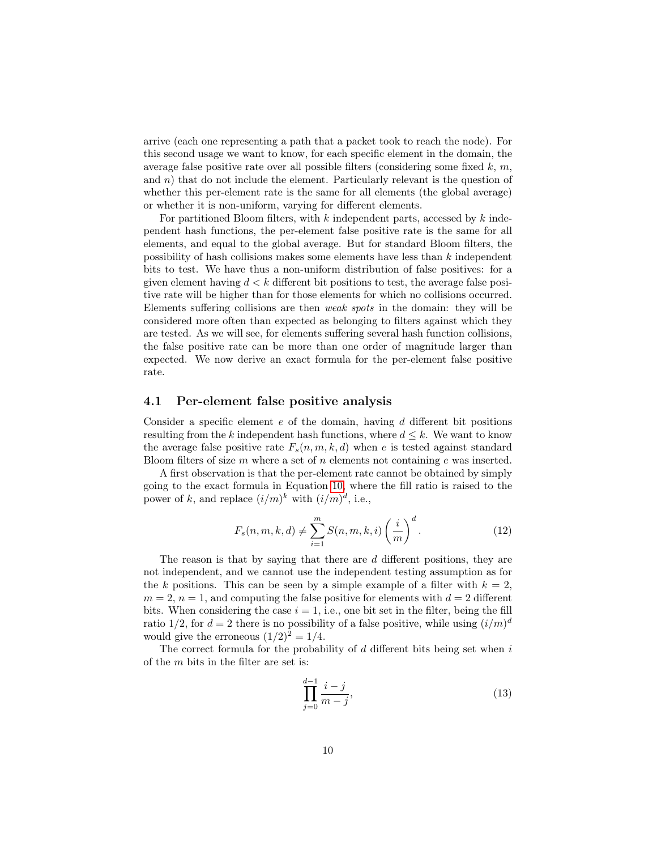arrive (each one representing a path that a packet took to reach the node). For this second usage we want to know, for each specific element in the domain, the average false positive rate over all possible filters (considering some fixed  $k, m$ , and  $n$ ) that do not include the element. Particularly relevant is the question of whether this per-element rate is the same for all elements (the global average) or whether it is non-uniform, varying for different elements.

For partitioned Bloom filters, with  $k$  independent parts, accessed by  $k$  independent hash functions, the per-element false positive rate is the same for all elements, and equal to the global average. But for standard Bloom filters, the possibility of hash collisions makes some elements have less than k independent bits to test. We have thus a non-uniform distribution of false positives: for a given element having  $d < k$  different bit positions to test, the average false positive rate will be higher than for those elements for which no collisions occurred. Elements suffering collisions are then weak spots in the domain: they will be considered more often than expected as belonging to filters against which they are tested. As we will see, for elements suffering several hash function collisions, the false positive rate can be more than one order of magnitude larger than expected. We now derive an exact formula for the per-element false positive rate.

#### 4.1 Per-element false positive analysis

Consider a specific element  $e$  of the domain, having  $d$  different bit positions resulting from the k independent hash functions, where  $d \leq k$ . We want to know the average false positive rate  $F_s(n, m, k, d)$  when e is tested against standard Bloom filters of size  $m$  where a set of  $n$  elements not containing  $e$  was inserted.

A first observation is that the per-element rate cannot be obtained by simply going to the exact formula in Equation [10,](#page-6-1) where the fill ratio is raised to the power of k, and replace  $(i/m)^k$  with  $(i/m)^d$ , i.e.,

$$
F_s(n, m, k, d) \neq \sum_{i=1}^{m} S(n, m, k, i) \left(\frac{i}{m}\right)^d.
$$
 (12)

The reason is that by saying that there are d different positions, they are not independent, and we cannot use the independent testing assumption as for the k positions. This can be seen by a simple example of a filter with  $k = 2$ ,  $m = 2$ ,  $n = 1$ , and computing the false positive for elements with  $d = 2$  different bits. When considering the case  $i = 1$ , i.e., one bit set in the filter, being the fill ratio 1/2, for  $d = 2$  there is no possibility of a false positive, while using  $(i/m)^d$ would give the erroneous  $(1/2)^2 = 1/4$ .

The correct formula for the probability of  $d$  different bits being set when  $i$ of the m bits in the filter are set is:

$$
\prod_{j=0}^{d-1} \frac{i-j}{m-j},
$$
\n(13)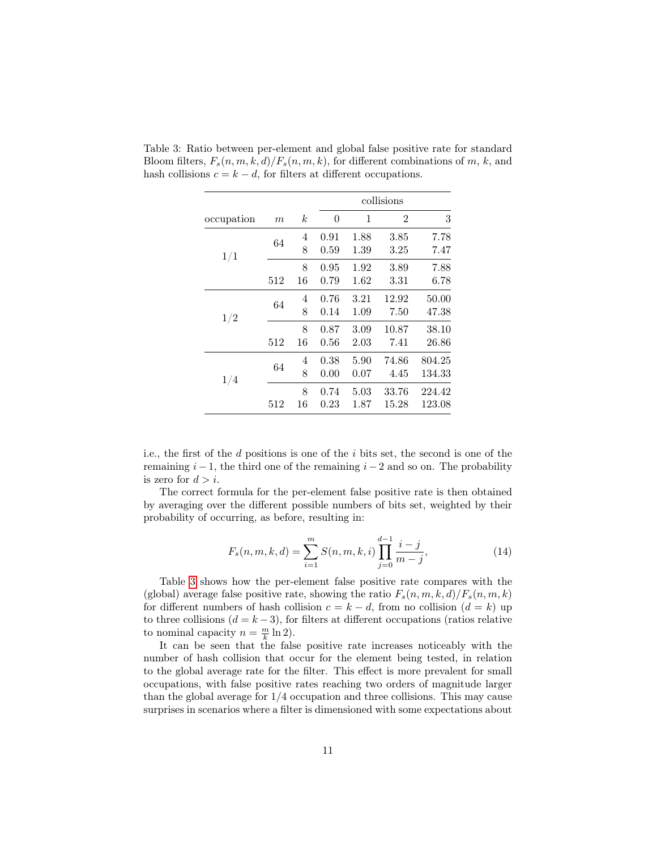|            |                  |                  | collisions |      |                |        |  |
|------------|------------------|------------------|------------|------|----------------|--------|--|
| occupation | $\boldsymbol{m}$ | $\boldsymbol{k}$ | 0          | 1    | $\overline{2}$ | 3      |  |
|            | 64               | 4                | 0.91       | 1.88 | 3.85           | 7.78   |  |
| 1/1        |                  | 8                | 0.59       | 1.39 | 3.25           | 7.47   |  |
|            |                  | 8                | 0.95       | 1.92 | 3.89           | 7.88   |  |
|            | 512              | 16               | 0.79       | 1.62 | 3.31           | 6.78   |  |
|            | 64               | 4                | 0.76       | 3.21 | 12.92          | 50.00  |  |
| 1/2        |                  | 8                | 0.14       | 1.09 | 7.50           | 47.38  |  |
|            |                  | 8                | 0.87       | 3.09 | 10.87          | 38.10  |  |
|            | 512              | 16               | 0.56       | 2.03 | 7.41           | 26.86  |  |
|            |                  | 4                | 0.38       | 5.90 | 74.86          | 804.25 |  |
| 1/4        | 64               | 8                | 0.00       | 0.07 | 4.45           | 134.33 |  |
|            |                  | 8                | 0.74       | 5.03 | 33.76          | 224.42 |  |
|            | 512              | 16               | 0.23       | 1.87 | 15.28          | 123.08 |  |

<span id="page-10-0"></span>Table 3: Ratio between per-element and global false positive rate for standard Bloom filters,  $F_s(n, m, k, d)/F_s(n, m, k)$ , for different combinations of m, k, and hash collisions  $c = k - d$ , for filters at different occupations.

i.e., the first of the d positions is one of the i bits set, the second is one of the remaining  $i - 1$ , the third one of the remaining  $i - 2$  and so on. The probability is zero for  $d > i$ .

The correct formula for the per-element false positive rate is then obtained by averaging over the different possible numbers of bits set, weighted by their probability of occurring, as before, resulting in:

$$
F_s(n, m, k, d) = \sum_{i=1}^{m} S(n, m, k, i) \prod_{j=0}^{d-1} \frac{i-j}{m-j},
$$
\n(14)

Table [3](#page-10-0) shows how the per-element false positive rate compares with the (global) average false positive rate, showing the ratio  $F_s(n, m, k, d)/F_s(n, m, k)$ for different numbers of hash collision  $c = k - d$ , from no collision  $(d = k)$  up to three collisions  $(d = k - 3)$ , for filters at different occupations (ratios relative to nominal capacity  $n = \frac{m}{k} \ln 2$ .

It can be seen that the false positive rate increases noticeably with the number of hash collision that occur for the element being tested, in relation to the global average rate for the filter. This effect is more prevalent for small occupations, with false positive rates reaching two orders of magnitude larger than the global average for 1/4 occupation and three collisions. This may cause surprises in scenarios where a filter is dimensioned with some expectations about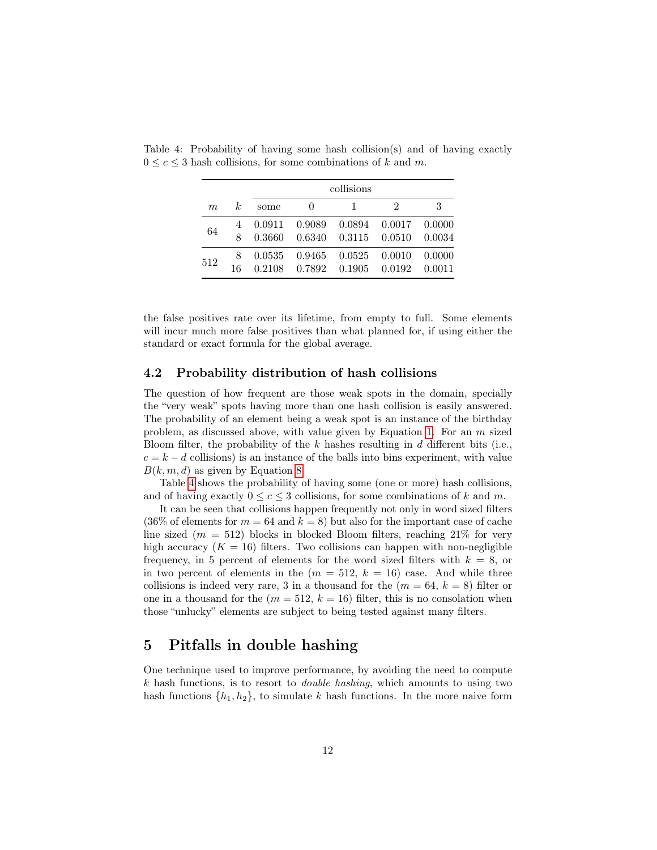<span id="page-11-0"></span>

|     |         |                  | collisions       |                  |                  |                  |  |  |  |  |
|-----|---------|------------------|------------------|------------------|------------------|------------------|--|--|--|--|
| m   | k.      | some             | $\mathbf{0}$     |                  | 2                | 3                |  |  |  |  |
| 64  | 8       | 0.0911<br>0.3660 | 0.9089<br>0.6340 | 0.0894<br>0.3115 | 0.0017<br>0.0510 | 0.0000<br>0.0034 |  |  |  |  |
| 512 | 8<br>16 | 0.0535<br>0.2108 | 0.9465<br>0.7892 | 0.0525<br>0.1905 | 0.0010<br>0.0192 | 0.0000<br>0.0011 |  |  |  |  |

Table 4: Probability of having some hash collision(s) and of having exactly  $0 \leq c \leq 3$  hash collisions, for some combinations of k and m.

the false positives rate over its lifetime, from empty to full. Some elements will incur much more false positives than what planned for, if using either the standard or exact formula for the global average.

#### 4.2 Probability distribution of hash collisions

The question of how frequent are those weak spots in the domain, specially the "very weak" spots having more than one hash collision is easily answered. The probability of an element being a weak spot is an instance of the birthday problem, as discussed above, with value given by Equation [1.](#page-2-2) For an  $m$  sized Bloom filter, the probability of the  $k$  hashes resulting in  $d$  different bits (i.e.,  $c = k - d$  collisions) is an instance of the balls into bins experiment, with value  $B(k, m, d)$  as given by Equation [8.](#page-6-2)

Table [4](#page-11-0) shows the probability of having some (one or more) hash collisions, and of having exactly  $0 \leq c \leq 3$  collisions, for some combinations of k and m.

It can be seen that collisions happen frequently not only in word sized filters  $(36\% \text{ of elements for } m = 64 \text{ and } k = 8)$  but also for the important case of cache line sized ( $m = 512$ ) blocks in blocked Bloom filters, reaching 21% for very high accuracy  $(K = 16)$  filters. Two collisions can happen with non-negligible frequency, in 5 percent of elements for the word sized filters with  $k = 8$ , or in two percent of elements in the  $(m = 512, k = 16)$  case. And while three collisions is indeed very rare, 3 in a thousand for the  $(m = 64, k = 8)$  filter or one in a thousand for the  $(m = 512, k = 16)$  filter, this is no consolation when those "unlucky" elements are subject to being tested against many filters.

### 5 Pitfalls in double hashing

One technique used to improve performance, by avoiding the need to compute  $k$  hash functions, is to resort to *double hashing*, which amounts to using two hash functions  $\{h_1, h_2\}$ , to simulate k hash functions. In the more naive form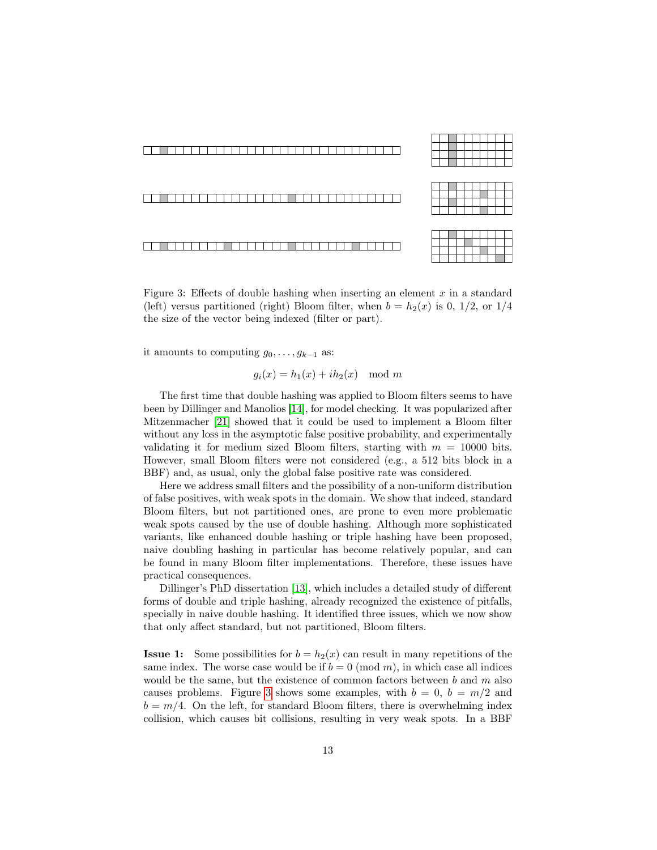

<span id="page-12-0"></span>Figure 3: Effects of double hashing when inserting an element  $x$  in a standard (left) versus partitioned (right) Bloom filter, when  $b = h_2(x)$  is 0, 1/2, or 1/4 the size of the vector being indexed (filter or part).

it amounts to computing  $g_0, \ldots, g_{k-1}$  as:

$$
g_i(x) = h_1(x) + ih_2(x) \mod m
$$

The first time that double hashing was applied to Bloom filters seems to have been by Dillinger and Manolios [\[14\]](#page-19-9), for model checking. It was popularized after Mitzenmacher [\[21\]](#page-19-1) showed that it could be used to implement a Bloom filter without any loss in the asymptotic false positive probability, and experimentally validating it for medium sized Bloom filters, starting with  $m = 10000$  bits. However, small Bloom filters were not considered (e.g., a 512 bits block in a BBF) and, as usual, only the global false positive rate was considered.

Here we address small filters and the possibility of a non-uniform distribution of false positives, with weak spots in the domain. We show that indeed, standard Bloom filters, but not partitioned ones, are prone to even more problematic weak spots caused by the use of double hashing. Although more sophisticated variants, like enhanced double hashing or triple hashing have been proposed, naive doubling hashing in particular has become relatively popular, and can be found in many Bloom filter implementations. Therefore, these issues have practical consequences.

Dillinger's PhD dissertation [\[13\]](#page-18-9), which includes a detailed study of different forms of double and triple hashing, already recognized the existence of pitfalls, specially in naive double hashing. It identified three issues, which we now show that only affect standard, but not partitioned, Bloom filters.

**Issue 1:** Some possibilities for  $b = h_2(x)$  can result in many repetitions of the same index. The worse case would be if  $b = 0 \pmod{m}$ , in which case all indices would be the same, but the existence of common factors between  $b$  and  $m$  also causes problems. Figure [3](#page-12-0) shows some examples, with  $b = 0$ ,  $b = m/2$  and  $b = m/4$ . On the left, for standard Bloom filters, there is overwhelming index collision, which causes bit collisions, resulting in very weak spots. In a BBF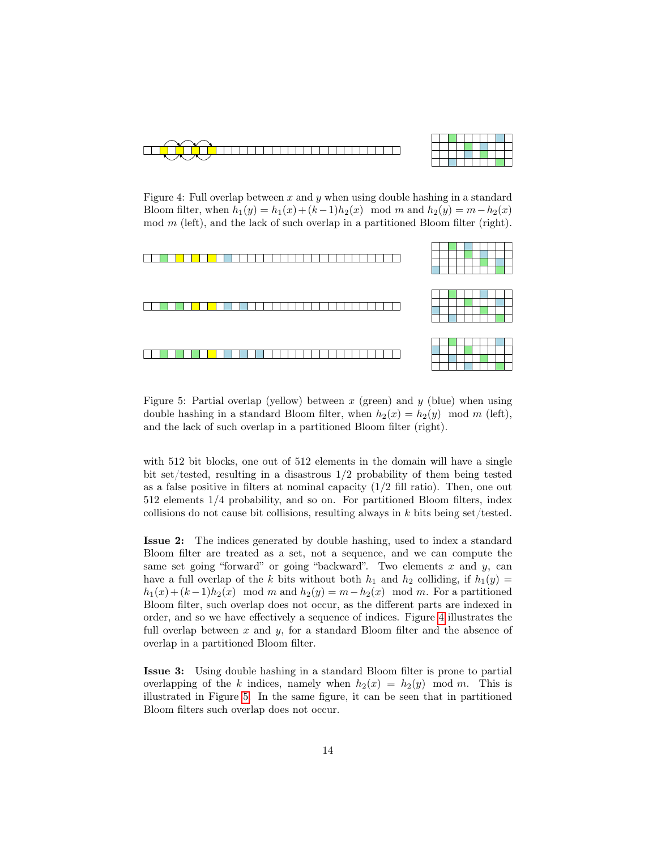

|  |  | - 11   |  |  |  |
|--|--|--------|--|--|--|
|  |  | $\sim$ |  |  |  |
|  |  | — .    |  |  |  |
|  |  |        |  |  |  |

<span id="page-13-0"></span>Figure 4: Full overlap between x and y when using double hashing in a standard Bloom filter, when  $h_1(y) = h_1(x) + (k-1)h_2(x) \mod m$  and  $h_2(y) = m - h_2(x)$  $mod m$  (left), and the lack of such overlap in a partitioned Bloom filter (right).



<span id="page-13-1"></span>Figure 5: Partial overlap (yellow) between  $x$  (green) and  $y$  (blue) when using double hashing in a standard Bloom filter, when  $h_2(x) = h_2(y) \mod m$  (left), and the lack of such overlap in a partitioned Bloom filter (right).

with 512 bit blocks, one out of 512 elements in the domain will have a single bit set/tested, resulting in a disastrous  $1/2$  probability of them being tested as a false positive in filters at nominal capacity  $(1/2$  fill ratio). Then, one out 512 elements 1/4 probability, and so on. For partitioned Bloom filters, index collisions do not cause bit collisions, resulting always in  $k$  bits being set/tested.

Issue 2: The indices generated by double hashing, used to index a standard Bloom filter are treated as a set, not a sequence, and we can compute the same set going "forward" or going "backward". Two elements  $x$  and  $y$ , can have a full overlap of the k bits without both  $h_1$  and  $h_2$  colliding, if  $h_1(y) =$  $h_1(x) + (k-1)h_2(x) \mod m$  and  $h_2(y) = m-h_2(x) \mod m$ . For a partitioned Bloom filter, such overlap does not occur, as the different parts are indexed in order, and so we have effectively a sequence of indices. Figure [4](#page-13-0) illustrates the full overlap between  $x$  and  $y$ , for a standard Bloom filter and the absence of overlap in a partitioned Bloom filter.

Issue 3: Using double hashing in a standard Bloom filter is prone to partial overlapping of the k indices, namely when  $h_2(x) = h_2(y) \mod m$ . This is illustrated in Figure [5.](#page-13-1) In the same figure, it can be seen that in partitioned Bloom filters such overlap does not occur.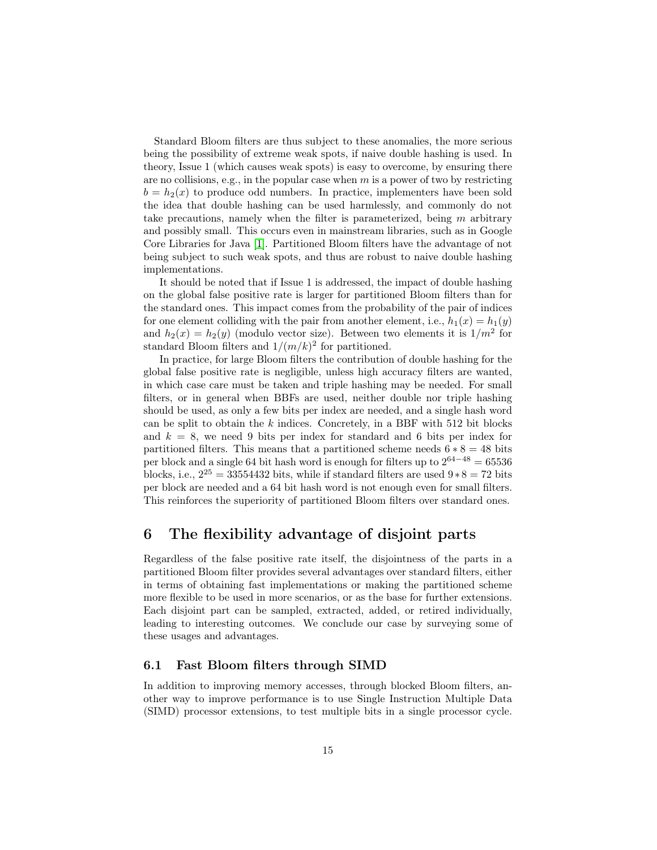Standard Bloom filters are thus subject to these anomalies, the more serious being the possibility of extreme weak spots, if naive double hashing is used. In theory, Issue 1 (which causes weak spots) is easy to overcome, by ensuring there are no collisions, e.g., in the popular case when  $m$  is a power of two by restricting  $b = h<sub>2</sub>(x)$  to produce odd numbers. In practice, implementers have been sold the idea that double hashing can be used harmlessly, and commonly do not take precautions, namely when the filter is parameterized, being  $m$  arbitrary and possibly small. This occurs even in mainstream libraries, such as in Google Core Libraries for Java [\[1\]](#page-17-0). Partitioned Bloom filters have the advantage of not being subject to such weak spots, and thus are robust to naive double hashing implementations.

It should be noted that if Issue 1 is addressed, the impact of double hashing on the global false positive rate is larger for partitioned Bloom filters than for the standard ones. This impact comes from the probability of the pair of indices for one element colliding with the pair from another element, i.e.,  $h_1(x) = h_1(y)$ and  $h_2(x) = h_2(y)$  (modulo vector size). Between two elements it is  $1/m^2$  for standard Bloom filters and  $1/(m/k)^2$  for partitioned.

In practice, for large Bloom filters the contribution of double hashing for the global false positive rate is negligible, unless high accuracy filters are wanted, in which case care must be taken and triple hashing may be needed. For small filters, or in general when BBFs are used, neither double nor triple hashing should be used, as only a few bits per index are needed, and a single hash word can be split to obtain the  $k$  indices. Concretely, in a BBF with 512 bit blocks and  $k = 8$ , we need 9 bits per index for standard and 6 bits per index for partitioned filters. This means that a partitioned scheme needs  $6 * 8 = 48$  bits per block and a single 64 bit hash word is enough for filters up to  $2^{64-48} = 65536$ blocks, i.e.,  $2^{25} = 33554432$  bits, while if standard filters are used  $9 * 8 = 72$  bits per block are needed and a 64 bit hash word is not enough even for small filters. This reinforces the superiority of partitioned Bloom filters over standard ones.

### 6 The flexibility advantage of disjoint parts

Regardless of the false positive rate itself, the disjointness of the parts in a partitioned Bloom filter provides several advantages over standard filters, either in terms of obtaining fast implementations or making the partitioned scheme more flexible to be used in more scenarios, or as the base for further extensions. Each disjoint part can be sampled, extracted, added, or retired individually, leading to interesting outcomes. We conclude our case by surveying some of these usages and advantages.

### 6.1 Fast Bloom filters through SIMD

In addition to improving memory accesses, through blocked Bloom filters, another way to improve performance is to use Single Instruction Multiple Data (SIMD) processor extensions, to test multiple bits in a single processor cycle.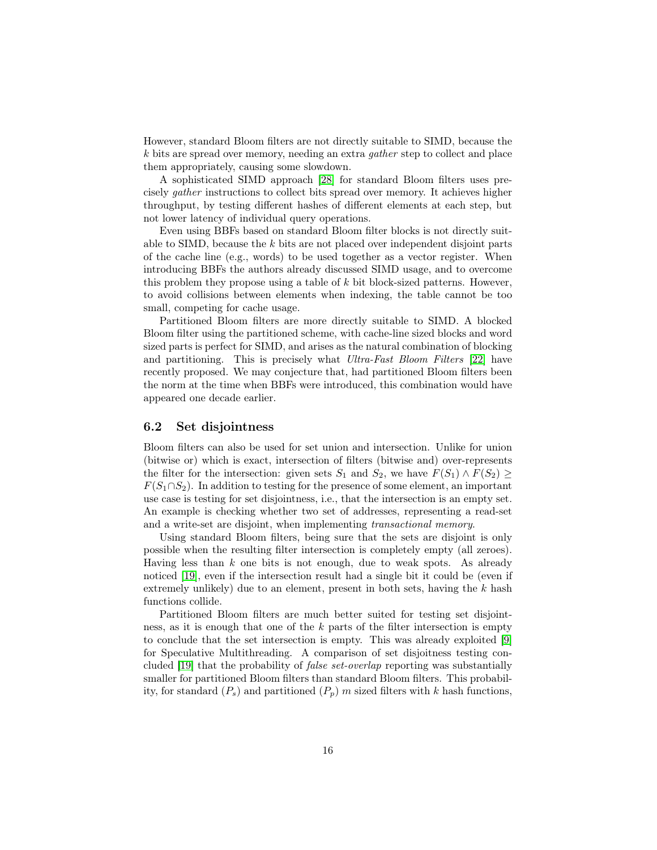However, standard Bloom filters are not directly suitable to SIMD, because the k bits are spread over memory, needing an extra gather step to collect and place them appropriately, causing some slowdown.

A sophisticated SIMD approach [\[28\]](#page-20-6) for standard Bloom filters uses precisely gather instructions to collect bits spread over memory. It achieves higher throughput, by testing different hashes of different elements at each step, but not lower latency of individual query operations.

Even using BBFs based on standard Bloom filter blocks is not directly suitable to SIMD, because the  $k$  bits are not placed over independent disjoint parts of the cache line (e.g., words) to be used together as a vector register. When introducing BBFs the authors already discussed SIMD usage, and to overcome this problem they propose using a table of  $k$  bit block-sized patterns. However, to avoid collisions between elements when indexing, the table cannot be too small, competing for cache usage.

Partitioned Bloom filters are more directly suitable to SIMD. A blocked Bloom filter using the partitioned scheme, with cache-line sized blocks and word sized parts is perfect for SIMD, and arises as the natural combination of blocking and partitioning. This is precisely what Ultra-Fast Bloom Filters [\[22\]](#page-19-10) have recently proposed. We may conjecture that, had partitioned Bloom filters been the norm at the time when BBFs were introduced, this combination would have appeared one decade earlier.

#### 6.2 Set disjointness

Bloom filters can also be used for set union and intersection. Unlike for union (bitwise or) which is exact, intersection of filters (bitwise and) over-represents the filter for the intersection: given sets  $S_1$  and  $S_2$ , we have  $F(S_1) \wedge F(S_2) \ge$  $F(S_1 \cap S_2)$ . In addition to testing for the presence of some element, an important use case is testing for set disjointness, i.e., that the intersection is an empty set. An example is checking whether two set of addresses, representing a read-set and a write-set are disjoint, when implementing transactional memory.

Using standard Bloom filters, being sure that the sets are disjoint is only possible when the resulting filter intersection is completely empty (all zeroes). Having less than  $k$  one bits is not enough, due to weak spots. As already noticed [\[19\]](#page-19-11), even if the intersection result had a single bit it could be (even if extremely unlikely) due to an element, present in both sets, having the  $k$  hash functions collide.

Partitioned Bloom filters are much better suited for testing set disjointness, as it is enough that one of the  $k$  parts of the filter intersection is empty to conclude that the set intersection is empty. This was already exploited [\[9\]](#page-18-2) for Speculative Multithreading. A comparison of set disjoitness testing concluded [\[19\]](#page-19-11) that the probability of false set-overlap reporting was substantially smaller for partitioned Bloom filters than standard Bloom filters. This probability, for standard  $(P_s)$  and partitioned  $(P_p)$  m sized filters with k hash functions,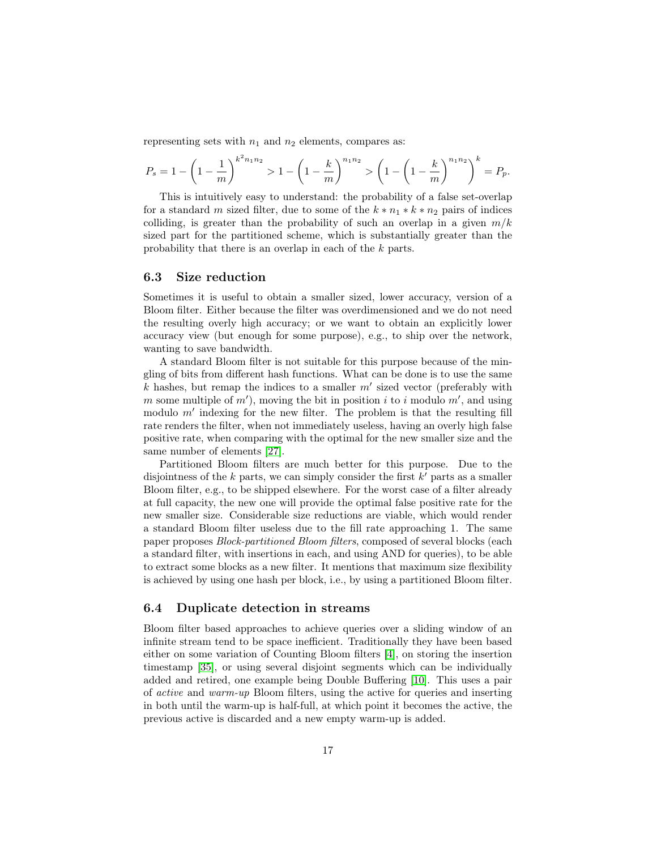representing sets with  $n_1$  and  $n_2$  elements, compares as:

$$
P_s = 1 - \left(1 - \frac{1}{m}\right)^{k^2 n_1 n_2} > 1 - \left(1 - \frac{k}{m}\right)^{n_1 n_2} > \left(1 - \left(1 - \frac{k}{m}\right)^{n_1 n_2}\right)^k = P_p.
$$

This is intuitively easy to understand: the probability of a false set-overlap for a standard m sized filter, due to some of the  $k * n_1 * k * n_2$  pairs of indices colliding, is greater than the probability of such an overlap in a given  $m/k$ sized part for the partitioned scheme, which is substantially greater than the probability that there is an overlap in each of the k parts.

#### 6.3 Size reduction

Sometimes it is useful to obtain a smaller sized, lower accuracy, version of a Bloom filter. Either because the filter was overdimensioned and we do not need the resulting overly high accuracy; or we want to obtain an explicitly lower accuracy view (but enough for some purpose), e.g., to ship over the network, wanting to save bandwidth.

A standard Bloom filter is not suitable for this purpose because of the mingling of bits from different hash functions. What can be done is to use the same  $k$  hashes, but remap the indices to a smaller  $m'$  sized vector (preferably with m some multiple of  $m'$ , moving the bit in position i to i modulo  $m'$ , and using modulo  $m'$  indexing for the new filter. The problem is that the resulting fill rate renders the filter, when not immediately useless, having an overly high false positive rate, when comparing with the optimal for the new smaller size and the same number of elements [\[27\]](#page-20-7).

Partitioned Bloom filters are much better for this purpose. Due to the disjointness of the  $k$  parts, we can simply consider the first  $k'$  parts as a smaller Bloom filter, e.g., to be shipped elsewhere. For the worst case of a filter already at full capacity, the new one will provide the optimal false positive rate for the new smaller size. Considerable size reductions are viable, which would render a standard Bloom filter useless due to the fill rate approaching 1. The same paper proposes Block-partitioned Bloom filters, composed of several blocks (each a standard filter, with insertions in each, and using AND for queries), to be able to extract some blocks as a new filter. It mentions that maximum size flexibility is achieved by using one hash per block, i.e., by using a partitioned Bloom filter.

#### 6.4 Duplicate detection in streams

Bloom filter based approaches to achieve queries over a sliding window of an infinite stream tend to be space inefficient. Traditionally they have been based either on some variation of Counting Bloom filters [\[4\]](#page-18-10), on storing the insertion timestamp [\[35\]](#page-20-8), or using several disjoint segments which can be individually added and retired, one example being Double Buffering [\[10\]](#page-18-11). This uses a pair of active and warm-up Bloom filters, using the active for queries and inserting in both until the warm-up is half-full, at which point it becomes the active, the previous active is discarded and a new empty warm-up is added.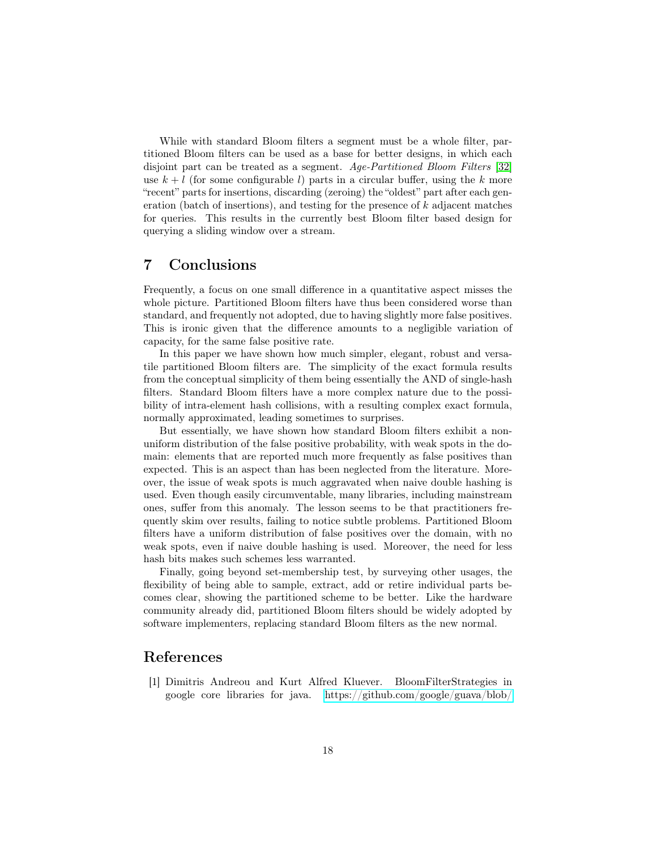While with standard Bloom filters a segment must be a whole filter, partitioned Bloom filters can be used as a base for better designs, in which each disjoint part can be treated as a segment. Age-Partitioned Bloom Filters [\[32\]](#page-20-9) use  $k + l$  (for some configurable l) parts in a circular buffer, using the k more "recent" parts for insertions, discarding (zeroing) the "oldest" part after each generation (batch of insertions), and testing for the presence of k adjacent matches for queries. This results in the currently best Bloom filter based design for querying a sliding window over a stream.

### 7 Conclusions

Frequently, a focus on one small difference in a quantitative aspect misses the whole picture. Partitioned Bloom filters have thus been considered worse than standard, and frequently not adopted, due to having slightly more false positives. This is ironic given that the difference amounts to a negligible variation of capacity, for the same false positive rate.

In this paper we have shown how much simpler, elegant, robust and versatile partitioned Bloom filters are. The simplicity of the exact formula results from the conceptual simplicity of them being essentially the AND of single-hash filters. Standard Bloom filters have a more complex nature due to the possibility of intra-element hash collisions, with a resulting complex exact formula, normally approximated, leading sometimes to surprises.

But essentially, we have shown how standard Bloom filters exhibit a nonuniform distribution of the false positive probability, with weak spots in the domain: elements that are reported much more frequently as false positives than expected. This is an aspect than has been neglected from the literature. Moreover, the issue of weak spots is much aggravated when naive double hashing is used. Even though easily circumventable, many libraries, including mainstream ones, suffer from this anomaly. The lesson seems to be that practitioners frequently skim over results, failing to notice subtle problems. Partitioned Bloom filters have a uniform distribution of false positives over the domain, with no weak spots, even if naive double hashing is used. Moreover, the need for less hash bits makes such schemes less warranted.

Finally, going beyond set-membership test, by surveying other usages, the flexibility of being able to sample, extract, add or retire individual parts becomes clear, showing the partitioned scheme to be better. Like the hardware community already did, partitioned Bloom filters should be widely adopted by software implementers, replacing standard Bloom filters as the new normal.

### References

<span id="page-17-0"></span>[1] Dimitris Andreou and Kurt Alfred Kluever. BloomFilterStrategies in google core libraries for java. [https://github.com/google/guava/blob/](https://github.com/google/guava/blob/master/guava/src/com/google/common/hash/BloomFilterStrategies.java)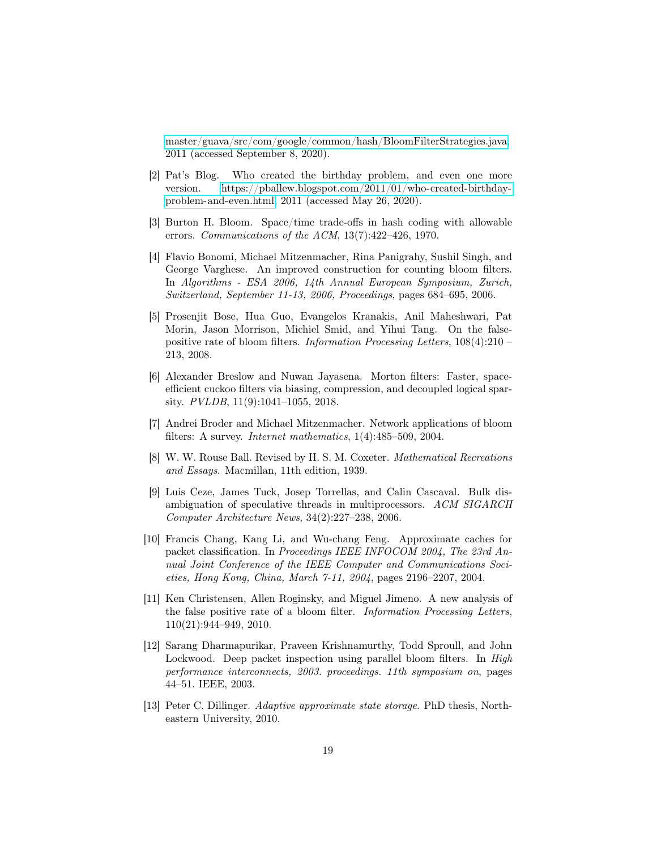[master/guava/src/com/google/common/hash/BloomFilterStrategies.java,](https://github.com/google/guava/blob/master/guava/src/com/google/common/hash/BloomFilterStrategies.java) 2011 (accessed September 8, 2020).

- <span id="page-18-5"></span>[2] Pat's Blog. Who created the birthday problem, and even one more version. [https://pballew.blogspot.com/2011/01/who-created-birthday](https://pballew.blogspot.com/2011/01/who-created-birthday-problem-and-even.html)[problem-and-even.html,](https://pballew.blogspot.com/2011/01/who-created-birthday-problem-and-even.html) 2011 (accessed May 26, 2020).
- <span id="page-18-0"></span>[3] Burton H. Bloom. Space/time trade-offs in hash coding with allowable errors. Communications of the ACM, 13(7):422–426, 1970.
- <span id="page-18-10"></span>[4] Flavio Bonomi, Michael Mitzenmacher, Rina Panigrahy, Sushil Singh, and George Varghese. An improved construction for counting bloom filters. In Algorithms - ESA 2006, 14th Annual European Symposium, Zurich, Switzerland, September 11-13, 2006, Proceedings, pages 684–695, 2006.
- <span id="page-18-7"></span>[5] Prosenjit Bose, Hua Guo, Evangelos Kranakis, Anil Maheshwari, Pat Morin, Jason Morrison, Michiel Smid, and Yihui Tang. On the falsepositive rate of bloom filters. Information Processing Letters, 108(4):210 – 213, 2008.
- <span id="page-18-6"></span>[6] Alexander Breslow and Nuwan Jayasena. Morton filters: Faster, spaceefficient cuckoo filters via biasing, compression, and decoupled logical sparsity. PVLDB, 11(9):1041–1055, 2018.
- <span id="page-18-1"></span>[7] Andrei Broder and Michael Mitzenmacher. Network applications of bloom filters: A survey. Internet mathematics, 1(4):485–509, 2004.
- <span id="page-18-4"></span>[8] W. W. Rouse Ball. Revised by H. S. M. Coxeter. Mathematical Recreations and Essays. Macmillan, 11th edition, 1939.
- <span id="page-18-2"></span>[9] Luis Ceze, James Tuck, Josep Torrellas, and Calin Cascaval. Bulk disambiguation of speculative threads in multiprocessors. ACM SIGARCH Computer Architecture News, 34(2):227–238, 2006.
- <span id="page-18-11"></span>[10] Francis Chang, Kang Li, and Wu-chang Feng. Approximate caches for packet classification. In Proceedings IEEE INFOCOM 2004, The 23rd Annual Joint Conference of the IEEE Computer and Communications Societies, Hong Kong, China, March 7-11, 2004, pages 2196–2207, 2004.
- <span id="page-18-8"></span>[11] Ken Christensen, Allen Roginsky, and Miguel Jimeno. A new analysis of the false positive rate of a bloom filter. Information Processing Letters, 110(21):944–949, 2010.
- <span id="page-18-3"></span>[12] Sarang Dharmapurikar, Praveen Krishnamurthy, Todd Sproull, and John Lockwood. Deep packet inspection using parallel bloom filters. In *High* performance interconnects, 2003. proceedings. 11th symposium on, pages 44–51. IEEE, 2003.
- <span id="page-18-9"></span>[13] Peter C. Dillinger. Adaptive approximate state storage. PhD thesis, Northeastern University, 2010.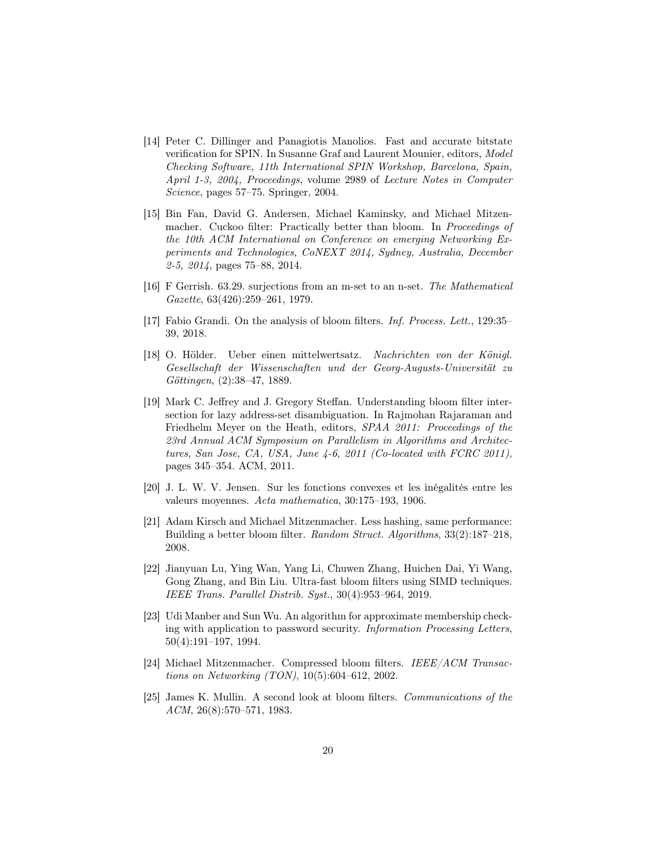- <span id="page-19-9"></span>[14] Peter C. Dillinger and Panagiotis Manolios. Fast and accurate bitstate verification for SPIN. In Susanne Graf and Laurent Mounier, editors, Model Checking Software, 11th International SPIN Workshop, Barcelona, Spain, April 1-3, 2004, Proceedings, volume 2989 of Lecture Notes in Computer Science, pages 57–75. Springer, 2004.
- <span id="page-19-2"></span>[15] Bin Fan, David G. Andersen, Michael Kaminsky, and Michael Mitzenmacher. Cuckoo filter: Practically better than bloom. In Proceedings of the 10th ACM International on Conference on emerging Networking Experiments and Technologies, CoNEXT 2014, Sydney, Australia, December 2-5, 2014, pages 75–88, 2014.
- <span id="page-19-8"></span>[16] F Gerrish. 63.29. surjections from an m-set to an n-set. The Mathematical Gazette, 63(426):259–261, 1979.
- <span id="page-19-4"></span>[17] Fabio Grandi. On the analysis of bloom filters. Inf. Process. Lett., 129:35– 39, 2018.
- <span id="page-19-6"></span>[18] O. Hölder. Ueber einen mittelwertsatz. Nachrichten von der Königl. Gesellschaft der Wissenschaften und der Georg-Augusts-Universität zu Göttingen, (2):38–47, 1889.
- <span id="page-19-11"></span>[19] Mark C. Jeffrey and J. Gregory Steffan. Understanding bloom filter intersection for lazy address-set disambiguation. In Rajmohan Rajaraman and Friedhelm Meyer on the Heath, editors, SPAA 2011: Proceedings of the 23rd Annual ACM Symposium on Parallelism in Algorithms and Architectures, San Jose, CA, USA, June 4-6, 2011 (Co-located with FCRC 2011), pages 345–354. ACM, 2011.
- <span id="page-19-7"></span>[20] J. L. W. V. Jensen. Sur les fonctions convexes et les inégalités entre les valeurs moyennes. Acta mathematica, 30:175–193, 1906.
- <span id="page-19-1"></span>[21] Adam Kirsch and Michael Mitzenmacher. Less hashing, same performance: Building a better bloom filter. Random Struct. Algorithms, 33(2):187–218, 2008.
- <span id="page-19-10"></span>[22] Jianyuan Lu, Ying Wan, Yang Li, Chuwen Zhang, Huichen Dai, Yi Wang, Gong Zhang, and Bin Liu. Ultra-fast bloom filters using SIMD techniques. IEEE Trans. Parallel Distrib. Syst., 30(4):953–964, 2019.
- <span id="page-19-3"></span>[23] Udi Manber and Sun Wu. An algorithm for approximate membership checking with application to password security. Information Processing Letters, 50(4):191–197, 1994.
- <span id="page-19-5"></span>[24] Michael Mitzenmacher. Compressed bloom filters. IEEE/ACM Transactions on Networking (TON), 10(5):604–612, 2002.
- <span id="page-19-0"></span>[25] James K. Mullin. A second look at bloom filters. Communications of the ACM, 26(8):570–571, 1983.